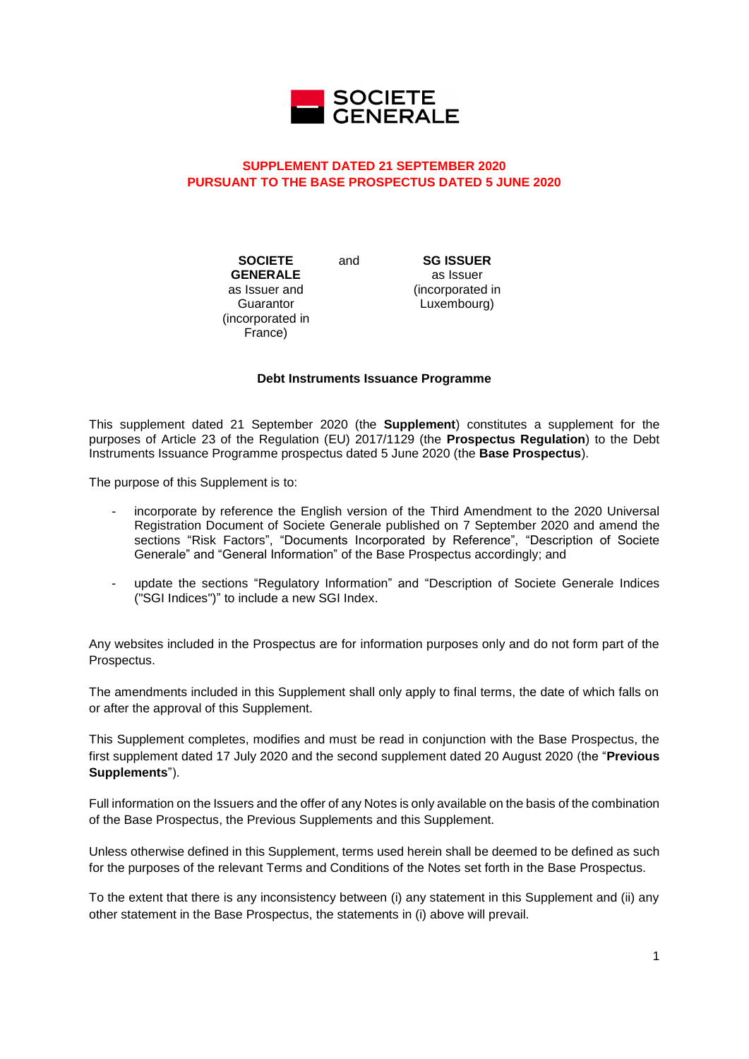

# **SUPPLEMENT DATED 21 SEPTEMBER 2020 PURSUANT TO THE BASE PROSPECTUS DATED 5 JUNE 2020**

**SOCIETE GENERALE** as Issuer and **Guarantor** (incorporated in France)

and **SG ISSUER** as Issuer (incorporated in Luxembourg)

#### **Debt Instruments Issuance Programme**

This supplement dated 21 September 2020 (the **Supplement**) constitutes a supplement for the purposes of Article 23 of the Regulation (EU) 2017/1129 (the **Prospectus Regulation**) to the Debt Instruments Issuance Programme prospectus dated 5 June 2020 (the **Base Prospectus**).

The purpose of this Supplement is to:

- incorporate by reference the English version of the Third Amendment to the 2020 Universal Registration Document of Societe Generale published on 7 September 2020 and amend the sections "Risk Factors", "Documents Incorporated by Reference", "Description of Societe Generale" and "General Information" of the Base Prospectus accordingly; and
- update the sections "Regulatory Information" and "Description of Societe Generale Indices ("SGI Indices")" to include a new SGI Index.

Any websites included in the Prospectus are for information purposes only and do not form part of the Prospectus.

The amendments included in this Supplement shall only apply to final terms, the date of which falls on or after the approval of this Supplement.

This Supplement completes, modifies and must be read in conjunction with the Base Prospectus, the first supplement dated 17 July 2020 and the second supplement dated 20 August 2020 (the "**Previous Supplements**").

Full information on the Issuers and the offer of any Notes is only available on the basis of the combination of the Base Prospectus, the Previous Supplements and this Supplement.

Unless otherwise defined in this Supplement, terms used herein shall be deemed to be defined as such for the purposes of the relevant Terms and Conditions of the Notes set forth in the Base Prospectus.

To the extent that there is any inconsistency between (i) any statement in this Supplement and (ii) any other statement in the Base Prospectus, the statements in (i) above will prevail.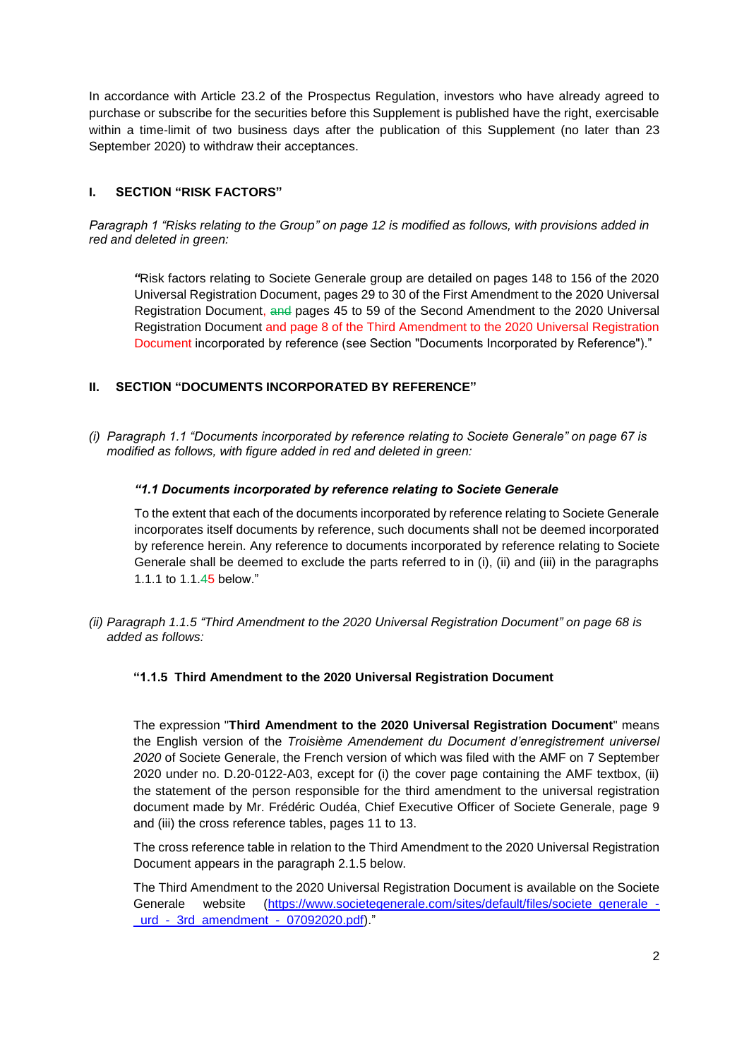In accordance with Article 23.2 of the Prospectus Regulation, investors who have already agreed to purchase or subscribe for the securities before this Supplement is published have the right, exercisable within a time-limit of two business days after the publication of this Supplement (no later than 23 September 2020) to withdraw their acceptances.

# **I. SECTION "RISK FACTORS"**

*Paragraph 1 "Risks relating to the Group" on page 12 is modified as follows, with provisions added in red and deleted in green:*

*"*Risk factors relating to Societe Generale group are detailed on pages 148 to 156 of the 2020 Universal Registration Document, pages 29 to 30 of the First Amendment to the 2020 Universal Registration Document, and pages 45 to 59 of the Second Amendment to the 2020 Universal Registration Document and page 8 of the Third Amendment to the 2020 Universal Registration Document incorporated by reference (see Section "Documents Incorporated by Reference")."

# **II. SECTION "DOCUMENTS INCORPORATED BY REFERENCE"**

*(i) Paragraph 1.1 "Documents incorporated by reference relating to Societe Generale" on page 67 is modified as follows, with figure added in red and deleted in green:*

### *"1.1 Documents incorporated by reference relating to Societe Generale*

To the extent that each of the documents incorporated by reference relating to Societe Generale incorporates itself documents by reference, such documents shall not be deemed incorporated by reference herein. Any reference to documents incorporated by reference relating to Societe Generale shall be deemed to exclude the parts referred to in (i), (ii) and (iii) in the paragraphs 1.1.1 to 1.1.45 below."

*(ii) Paragraph 1.1.5 "Third Amendment to the 2020 Universal Registration Document" on page 68 is added as follows:*

### **"1.1.5 Third Amendment to the 2020 Universal Registration Document**

The expression "**Third Amendment to the 2020 Universal Registration Document**" means the English version of the *Troisième Amendement du Document d'enregistrement universel 2020* of Societe Generale, the French version of which was filed with the AMF on 7 September 2020 under no. D.20-0122-A03, except for (i) the cover page containing the AMF textbox, (ii) the statement of the person responsible for the third amendment to the universal registration document made by Mr. Frédéric Oudéa, Chief Executive Officer of Societe Generale, page 9 and (iii) the cross reference tables, pages 11 to 13.

The cross reference table in relation to the Third Amendment to the 2020 Universal Registration Document appears in the paragraph 2.1.5 below.

The Third Amendment to the 2020 Universal Registration Document is available on the Societe Generale website [\(https://www.societegenerale.com/sites/default/files/societe\\_generale\\_](https://www.societegenerale.com/sites/default/files/societe_generale_-_urd_-_3rd_amendment_-_07092020.pdf) urd - 3rd amendment - 07092020.pdf)."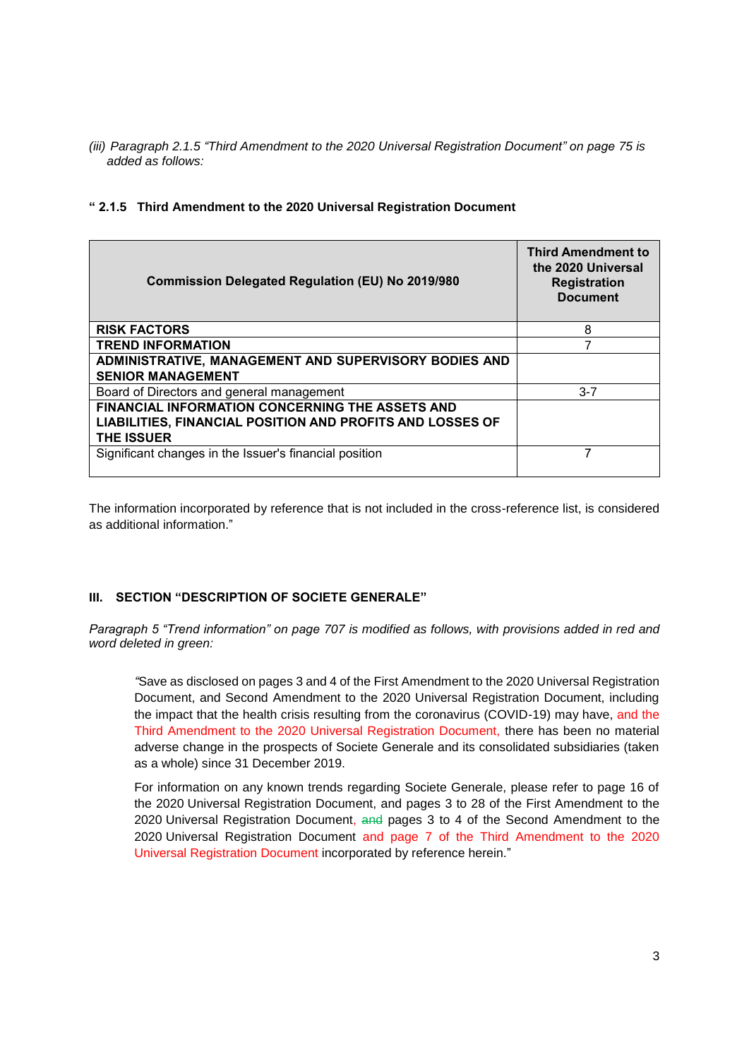*(iii) Paragraph 2.1.5 "Third Amendment to the 2020 Universal Registration Document" on page 75 is added as follows:*

| <b>Commission Delegated Regulation (EU) No 2019/980</b>                                                                                         | <b>Third Amendment to</b><br>the 2020 Universal<br><b>Registration</b><br><b>Document</b> |
|-------------------------------------------------------------------------------------------------------------------------------------------------|-------------------------------------------------------------------------------------------|
| <b>RISK FACTORS</b>                                                                                                                             | 8                                                                                         |
| <b>TREND INFORMATION</b>                                                                                                                        | 7                                                                                         |
| ADMINISTRATIVE, MANAGEMENT AND SUPERVISORY BODIES AND<br><b>SENIOR MANAGEMENT</b>                                                               |                                                                                           |
| Board of Directors and general management                                                                                                       | $3 - 7$                                                                                   |
| <b>FINANCIAL INFORMATION CONCERNING THE ASSETS AND</b><br><b>LIABILITIES, FINANCIAL POSITION AND PROFITS AND LOSSES OF</b><br><b>THE ISSUER</b> |                                                                                           |
| Significant changes in the Issuer's financial position                                                                                          | 7                                                                                         |

### **" 2.1.5 Third Amendment to the 2020 Universal Registration Document**

The information incorporated by reference that is not included in the cross-reference list, is considered as additional information."

## **III. SECTION "DESCRIPTION OF SOCIETE GENERALE"**

*Paragraph 5 "Trend information" on page 707 is modified as follows, with provisions added in red and word deleted in green:* 

*"*Save as disclosed on pages 3 and 4 of the First Amendment to the 2020 Universal Registration Document, and Second Amendment to the 2020 Universal Registration Document, including the impact that the health crisis resulting from the coronavirus (COVID-19) may have, and the Third Amendment to the 2020 Universal Registration Document, there has been no material adverse change in the prospects of Societe Generale and its consolidated subsidiaries (taken as a whole) since 31 December 2019.

For information on any known trends regarding Societe Generale, please refer to page 16 of the 2020 Universal Registration Document, and pages 3 to 28 of the First Amendment to the 2020 Universal Registration Document, and pages 3 to 4 of the Second Amendment to the 2020 Universal Registration Document and page 7 of the Third Amendment to the 2020 Universal Registration Document incorporated by reference herein."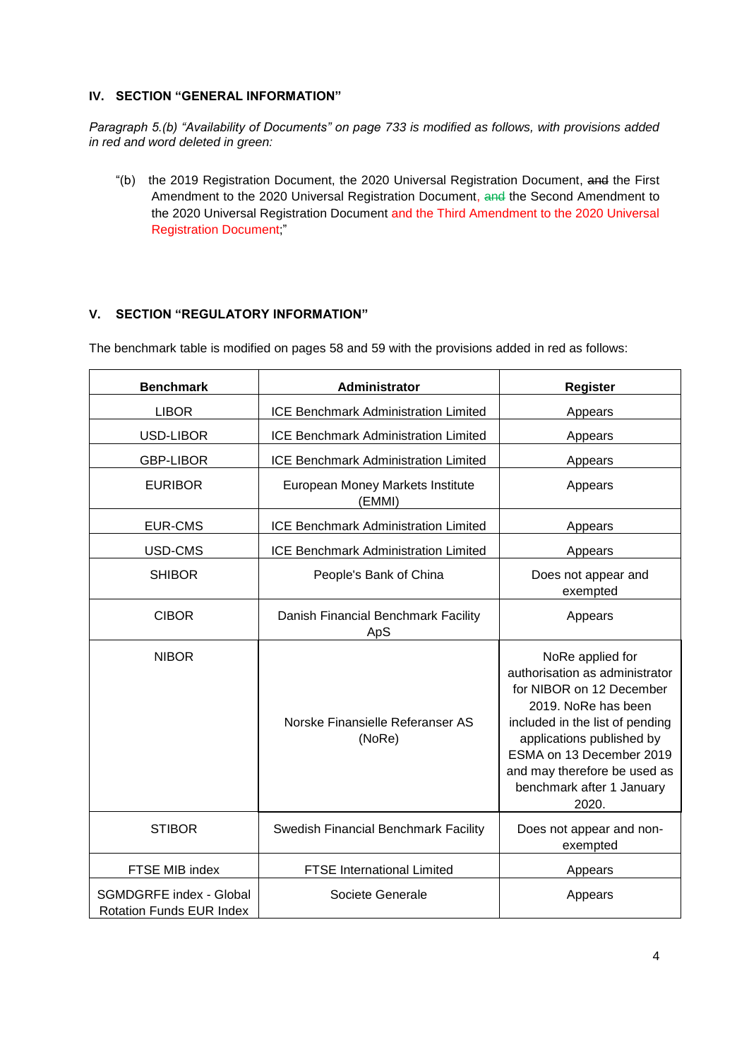### **IV. SECTION "GENERAL INFORMATION"**

*Paragraph 5.(b) "Availability of Documents" on page 733 is modified as follows, with provisions added in red and word deleted in green:*

"(b) the 2019 Registration Document, the 2020 Universal Registration Document, and the First Amendment to the 2020 Universal Registration Document, and the Second Amendment to the 2020 Universal Registration Document and the Third Amendment to the 2020 Universal Registration Document;"

# **V. SECTION "REGULATORY INFORMATION"**

The benchmark table is modified on pages 58 and 59 with the provisions added in red as follows:

| <b>Benchmark</b>                                                  | Administrator                               | Register                                                                                                                                                                                                                                                                |
|-------------------------------------------------------------------|---------------------------------------------|-------------------------------------------------------------------------------------------------------------------------------------------------------------------------------------------------------------------------------------------------------------------------|
| <b>LIBOR</b>                                                      | ICE Benchmark Administration Limited        | Appears                                                                                                                                                                                                                                                                 |
| <b>USD-LIBOR</b>                                                  | <b>ICE Benchmark Administration Limited</b> | Appears                                                                                                                                                                                                                                                                 |
| <b>GBP-LIBOR</b>                                                  | <b>ICE Benchmark Administration Limited</b> | Appears                                                                                                                                                                                                                                                                 |
| <b>EURIBOR</b>                                                    | European Money Markets Institute<br>(EMMI)  | Appears                                                                                                                                                                                                                                                                 |
| EUR-CMS                                                           | <b>ICE Benchmark Administration Limited</b> | Appears                                                                                                                                                                                                                                                                 |
| USD-CMS                                                           | <b>ICE Benchmark Administration Limited</b> | Appears                                                                                                                                                                                                                                                                 |
| <b>SHIBOR</b>                                                     | People's Bank of China                      | Does not appear and<br>exempted                                                                                                                                                                                                                                         |
| <b>CIBOR</b>                                                      | Danish Financial Benchmark Facility<br>ApS  | Appears                                                                                                                                                                                                                                                                 |
| <b>NIBOR</b>                                                      | Norske Finansielle Referanser AS<br>(NoRe)  | NoRe applied for<br>authorisation as administrator<br>for NIBOR on 12 December<br>2019. NoRe has been<br>included in the list of pending<br>applications published by<br>ESMA on 13 December 2019<br>and may therefore be used as<br>benchmark after 1 January<br>2020. |
| <b>STIBOR</b>                                                     | Swedish Financial Benchmark Facility        | Does not appear and non-<br>exempted                                                                                                                                                                                                                                    |
| FTSE MIB index                                                    | <b>FTSE International Limited</b>           | Appears                                                                                                                                                                                                                                                                 |
| <b>SGMDGRFE index - Global</b><br><b>Rotation Funds EUR Index</b> | Societe Generale                            | Appears                                                                                                                                                                                                                                                                 |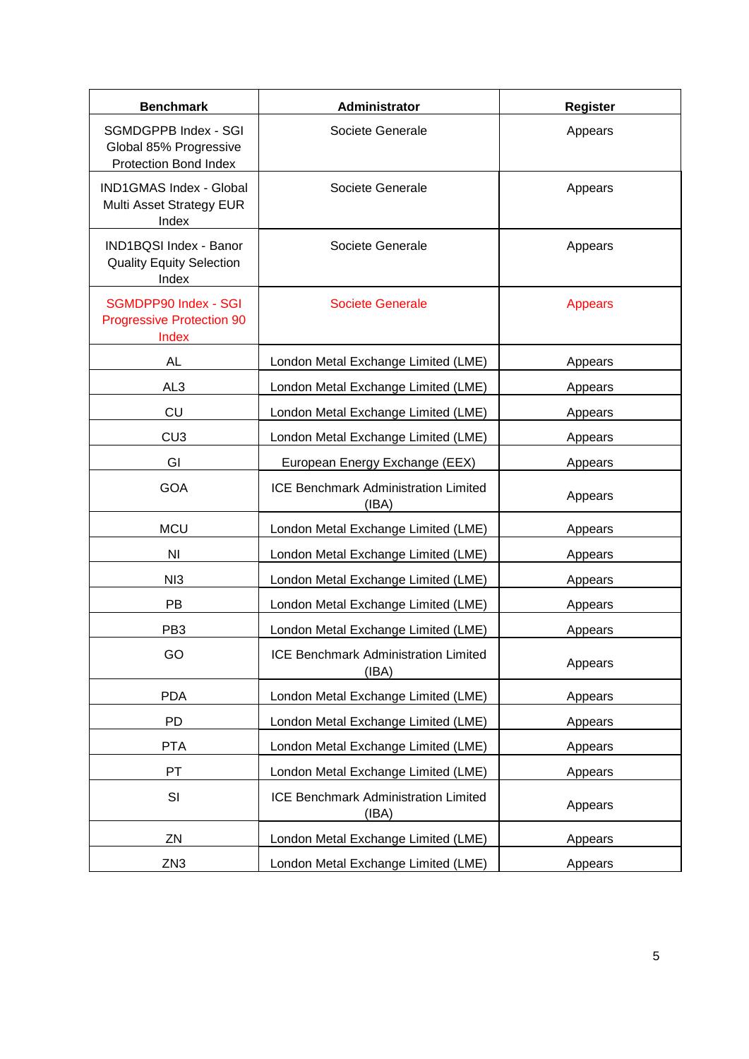| <b>Benchmark</b>                                                               | Administrator                                        | <b>Register</b> |
|--------------------------------------------------------------------------------|------------------------------------------------------|-----------------|
| SGMDGPPB Index - SGI<br>Global 85% Progressive<br><b>Protection Bond Index</b> | Societe Generale                                     | Appears         |
| <b>IND1GMAS Index - Global</b><br>Multi Asset Strategy EUR<br>Index            | Societe Generale                                     | Appears         |
| <b>IND1BQSI Index - Banor</b><br><b>Quality Equity Selection</b><br>Index      | Societe Generale                                     | Appears         |
| SGMDPP90 Index - SGI<br><b>Progressive Protection 90</b><br>Index              | <b>Societe Generale</b>                              | <b>Appears</b>  |
| AL                                                                             | London Metal Exchange Limited (LME)                  | Appears         |
| AL <sub>3</sub>                                                                | London Metal Exchange Limited (LME)                  | Appears         |
| CU                                                                             | London Metal Exchange Limited (LME)                  | Appears         |
| CU3                                                                            | London Metal Exchange Limited (LME)                  | Appears         |
| GI                                                                             | European Energy Exchange (EEX)                       | Appears         |
| <b>GOA</b>                                                                     | <b>ICE Benchmark Administration Limited</b><br>(IBA) | Appears         |
| <b>MCU</b>                                                                     | London Metal Exchange Limited (LME)                  | Appears         |
| N <sub>1</sub>                                                                 | London Metal Exchange Limited (LME)                  | Appears         |
| NI <sub>3</sub>                                                                | London Metal Exchange Limited (LME)                  | Appears         |
| PB                                                                             | London Metal Exchange Limited (LME)                  | Appears         |
| PB <sub>3</sub>                                                                | London Metal Exchange Limited (LME)                  | Appears         |
| GO                                                                             | ICE Benchmark Administration Limited<br>(IBA)        | Appears         |
| <b>PDA</b>                                                                     | London Metal Exchange Limited (LME)                  | Appears         |
| PD                                                                             | London Metal Exchange Limited (LME)                  | Appears         |
| <b>PTA</b>                                                                     | London Metal Exchange Limited (LME)                  | Appears         |
| PT                                                                             | London Metal Exchange Limited (LME)                  | Appears         |
| SI                                                                             | <b>ICE Benchmark Administration Limited</b><br>(IBA) | Appears         |
| ZN                                                                             | London Metal Exchange Limited (LME)                  | Appears         |
| ZN <sub>3</sub>                                                                | London Metal Exchange Limited (LME)                  | Appears         |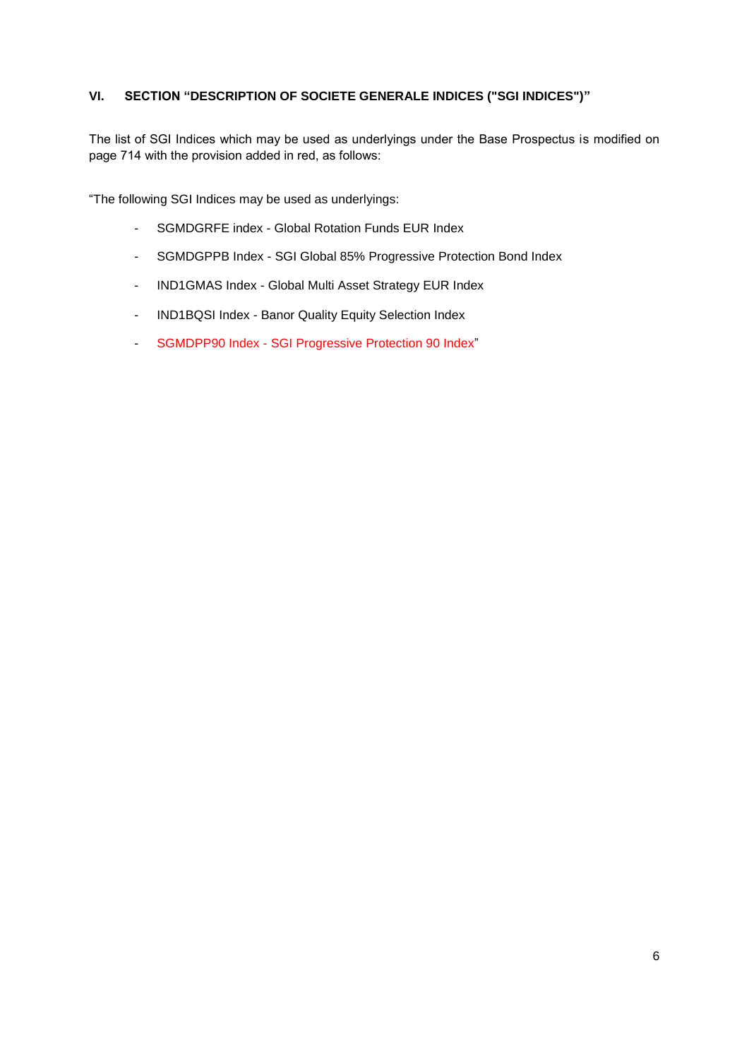# **VI. SECTION "DESCRIPTION OF SOCIETE GENERALE INDICES ("SGI INDICES")"**

The list of SGI Indices which may be used as underlyings under the Base Prospectus is modified on page 714 with the provision added in red, as follows:

"The following SGI Indices may be used as underlyings:

- SGMDGRFE index Global Rotation Funds EUR Index
- SGMDGPPB Index SGI Global 85% Progressive Protection Bond Index
- IND1GMAS Index Global Multi Asset Strategy EUR Index
- IND1BQSI Index Banor Quality Equity Selection Index
- SGMDPP90 Index SGI Progressive Protection 90 Index"